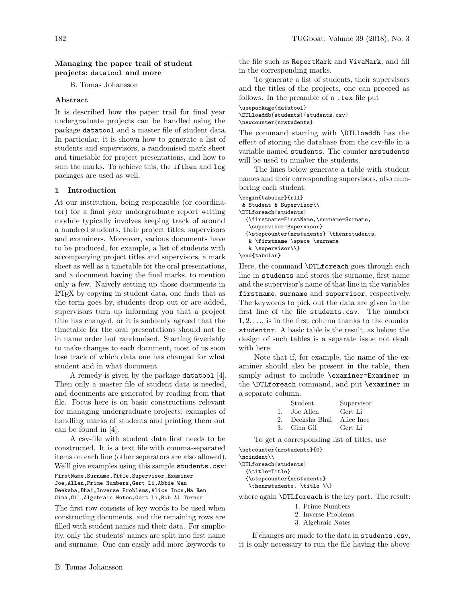## Managing the paper trail of student projects: datatool and more

B. Tomas Johansson

## Abstract

It is described how the paper trail for final year undergraduate projects can be handled using the package datatool and a master file of student data. In particular, it is shown how to generate a list of students and supervisors, a randomised mark sheet and timetable for project presentations, and how to sum the marks. To achieve this, the **ifthen** and  $\log$ packages are used as well.

# 1 Introduction

At our institution, being responsible (or coordinator) for a final year undergraduate report writing module typically involves keeping track of around a hundred students, their project titles, supervisors and examiners. Moreover, various documents have to be produced, for example, a list of students with accompanying project titles and supervisors, a mark sheet as well as a timetable for the oral presentations, and a document having the final marks, to mention only a few. Naively setting up those documents in LATEX by copying in student data, one finds that as the term goes by, students drop out or are added, supervisors turn up informing you that a project title has changed, or it is suddenly agreed that the timetable for the oral presentations should not be in name order but randomised. Starting feverishly to make changes to each document, most of us soon lose track of which data one has changed for what student and in what document.

A remedy is given by the package datatool [\[4\]](#page-2-0). Then only a master file of student data is needed, and documents are generated by reading from that file. Focus here is on basic constructions relevant for managing undergraduate projects; examples of handling marks of students and printing them out can be found in [\[4\]](#page-2-0).

A csv-file with student data first needs to be constructed. It is a text file with comma-separated items on each line (other separators are also allowed). We'll give examples using this sample students.csv:

FirstName,Surname,Title,Supervisor,Examiner Joe,Allen,Prime Numbers,Gert Li,Abbie Wan Deeksha,Bhai,Inverse Problems,Alice Ince,Ma Ren Gina,Gil,Algebraic Notes,Gert Li,Bob Al Turner

The first row consists of key words to be used when constructing documents, and the remaining rows are filled with student names and their data. For simplicity, only the students' names are split into first name and surname. One can easily add more keywords to

To generate a list of students, their supervisors and the titles of the projects, one can proceed as follows. In the preamble of a .tex file put

\usepackage{datatool} \DTLloaddb{students}{students.csv} \newcounter{nrstudents}

The command starting with \DTLloaddb has the effect of storing the database from the csv-file in a variable named students. The counter nrstudents will be used to number the students.

The lines below generate a table with student names and their corresponding supervisors, also numbering each student:

```
\begin{tabular}{rll}
& Student & Supervisor\\
\DTLforeach{students}
  {\firstname=FirstName,\surname=Surname,
   \supervisor=Supervisor}
  {\stepcounter{nrstudents} \thenrstudents.
  & \firstname \space \surname
  & \supervisor\\}
\end{tabular}
```
Here, the command \DTLforeach goes through each line in students and stores the surname, first name and the supervisor's name of that line in the variables firstname, surname and supervisor, respectively. The keywords to pick out the data are given in the first line of the file students.csv. The number  $1, 2, \ldots$ , is in the first column thanks to the counter studentnr. A basic table is the result, as below; the design of such tables is a separate issue not dealt with here.

Note that if, for example, the name of the examiner should also be present in the table, then simply adjust to include \examiner=Examiner in the \DTLforeach command, and put \examiner in a separate column.

|               | Student        | Supervisor |
|---------------|----------------|------------|
| 1.            | Joe Allen      | Gert Li    |
| $\mathcal{P}$ | - Deeksha Bhai | Alice Ince |
| 3.            | Gina Gil       | Gert Li    |

To get a corresponding list of titles, use \setcounter{nrstudents}{0}

\noindent\\

\DTLforeach{students}

{\title=Title}

{\stepcounter{nrstudents} \thenrstudents. \title \\}

where again \DTLforeach is the key part. The result:

- 1. Prime Numbers
- 2. Inverse Problems
- 3. Algebraic Notes

If changes are made to the data in students.csv, it is only necessary to run the file having the above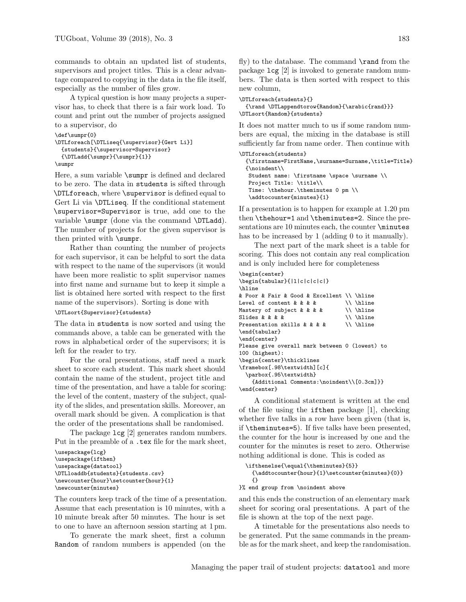commands to obtain an updated list of students, supervisors and project titles. This is a clear advantage compared to copying in the data in the file itself, especially as the number of files grow.

A typical question is how many projects a supervisor has, to check that there is a fair work load. To count and print out the number of projects assigned to a supervisor, do

```
\def\sumpr{0}
\DTLforeach[\DTLiseq{\supervisor}{Gert Li}]
  {students}{\supervisor=Supervisor}
  {\DTLadd{\sum_{{\text{sum}}}{1}}\}
```
\sumpr

Here, a sum variable \sumpr is defined and declared to be zero. The data in students is sifted through \DTLforeach, where \supervisor is defined equal to Gert Li via \DTLiseq. If the conditional statement \supervisor=Supervisor is true, add one to the variable \sumpr (done via the command \DTLadd). The number of projects for the given supervisor is then printed with \sumpr.

Rather than counting the number of projects for each supervisor, it can be helpful to sort the data with respect to the name of the supervisors (it would have been more realistic to split supervisor names into first name and surname but to keep it simple a list is obtained here sorted with respect to the first name of the supervisors). Sorting is done with \DTLsort{Supervisor}{students}

The data in students is now sorted and using the commands above, a table can be generated with the rows in alphabetical order of the supervisors; it is

left for the reader to try. For the oral presentations, staff need a mark sheet to score each student. This mark sheet should contain the name of the student, project title and time of the presentation, and have a table for scoring: the level of the content, mastery of the subject, quality of the slides, and presentation skills. Moreover, an overall mark should be given. A complication is that the order of the presentations shall be randomised.

The package lcg [\[2\]](#page-2-1) generates random numbers. Put in the preamble of a .tex file for the mark sheet,

```
\usepackage{lcg}
\usepackage{ifthen}
\usepackage{datatool}
\DTLloaddb{students}{students.csv}
\newcounter{hour}\setcounter{hour}{1}
\newcounter{minutes}
```
The counters keep track of the time of a presentation. Assume that each presentation is 10 minutes, with a 10 minute break after 50 minutes. The hour is set to one to have an afternoon session starting at 1 pm.

To generate the mark sheet, first a column Random of random numbers is appended (on the

fly) to the database. The command  $\$ rand from the package lcg [2] is invoked to generate random numbers. The data is then sorted with respect to this new column,

```
\DTLforeach{students}{}
  {\rand \DTLappendtorow{Random}{\arabic{rand}}}
\DTLsort{Random}{students}
```
It does not matter much to us if some random numbers are equal, the mixing in the database is still sufficiently far from name order. Then continue with

```
\DTLforeach{students}
 {\firstname=FirstName,\surname=Surname,\title=Title}
 {\noindent\\
  Student name: \firstname \space \surname \\
  Project Title: \title\\
  Time: \thehour.\theminutes 0 pm \\
   \addtocounter{minutes}{1}
```
If a presentation is to happen for example at 1.20 pm then \thehour=1 and \theminutes=2. Since the presentations are 10 minutes each, the counter **\minutes** has to be increased by 1 (adding 0 to it manually).

The next part of the mark sheet is a table for scoring. This does not contain any real complication and is only included here for completeness

### \begin{center}

```
\begin{tabular}{|l|c|c|c|c|}
\hline
& Poor & Fair & Good & Excellent \\ \hline
Level of content & & & & \setminus \Lambda \\ \hline Mastery of subject & & & & \setminus \LambdaMastery of subject & & & \setminus \\ \hline Slides & & & \\ \hline
Slides & & & &
Presentation skills k k k k \setminus \hline
\end{tabular}
\end{center}
Please give overall mark between 0 (lowest) to
100 (highest):
\begin{center}\thicklines
\framebox[.98\textwidth][c]{
   \parbox{.95\textwidth}
     {Additional Comments:\noindent\\[0.3cm]}}
\end{center}
```
A conditional statement is written at the end of the file using the ifthen package [\[1\]](#page-2-2), checking whether five talks in a row have been given (that is, if \theminutes=5). If five talks have been presented, the counter for the hour is increased by one and the counter for the minutes is reset to zero. Otherwise nothing additional is done. This is coded as

```
\ifthenelse{\equal{\theminutes}{5}}
  \{{\tt addtocounter}\{\tt hour}\}_{1}\\setminus\{\tt eminutes}\{0\}{}
```
}% end group from \noindent above

and this ends the construction of an elementary mark sheet for scoring oral presentations. A part of the file is shown at the top of the next page.

A timetable for the presentations also needs to be generated. Put the same commands in the preamble as for the mark sheet, and keep the randomisation.